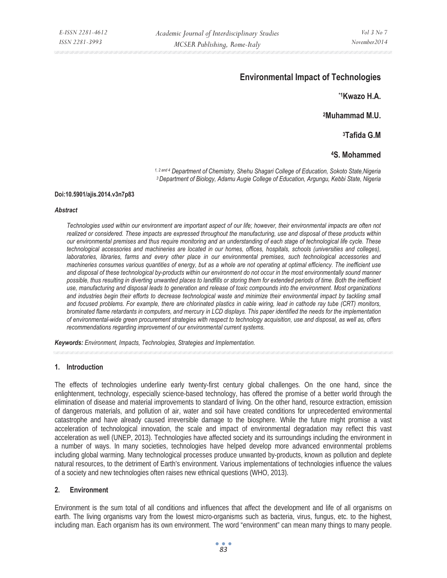# **Environmental Impact of Technologies**

**\*1Kwazo H.A.** 

**2Muhammad M.U.** 

**3Tafida G.M** 

# **4S. Mohammed**

*1, 2 and 4 Department of Chemistry, Shehu Shagari College of Education, Sokoto State,Nigeria 3 Department of Biology, Adamu Augie College of Education, Argungu, Kebbi State, Nigeria* 

#### **Doi:10.5901/ajis.2014.v3n7p83**

#### *Abstract*

*Technologies used within our environment are important aspect of our life; however, their environmental impacts are often not realized or considered. These impacts are expressed throughout the manufacturing, use and disposal of these products within our environmental premises and thus require monitoring and an understanding of each stage of technological life cycle. These technological accessories and machineries are located in our homes, offices, hospitals, schools (universities and colleges), laboratories, libraries, farms and every other place in our environmental premises, such technological accessories and machineries consumes various quantities of energy, but as a whole are not operating at optimal efficiency. The inefficient use and disposal of these technological by-products within our environment do not occur in the most environmentally sound manner possible, thus resulting in diverting unwanted places to landfills or storing them for extended periods of time. Both the inefficient use, manufacturing and disposal leads to generation and release of toxic compounds into the environment. Most organizations and industries begin their efforts to decrease technological waste and minimize their environmental impact by tackling small and focused problems. For example, there are chlorinated plastics in cable wiring, lead in cathode ray tube (CRT) monitors, brominated flame retardants in computers, and mercury in LCD displays. This paper identified the needs for the implementation of environmental-wide green procurement strategies with respect to technology acquisition, use and disposal, as well as, offers recommendations regarding improvement of our environmental current systems.* 

*Keywords: Environment, Impacts, Technologies, Strategies and Implementation.* 

#### **1. Introduction**

The effects of technologies underline early twenty-first century global challenges. On the one hand, since the enlightenment, technology, especially science-based technology, has offered the promise of a better world through the elimination of disease and material improvements to standard of living. On the other hand, resource extraction, emission of dangerous materials, and pollution of air, water and soil have created conditions for unprecedented environmental catastrophe and have already caused irreversible damage to the biosphere. While the future might promise a vast acceleration of technological innovation, the scale and impact of environmental degradation may reflect this vast acceleration as well (UNEP, 2013). Technologies have affected society and its surroundings including the environment in a number of ways. In many societies, technologies have helped develop more advanced environmental problems including global warming. Many technological processes produce unwanted by-products, known as pollution and deplete natural resources, to the detriment of Earth's environment. Various implementations of technologies influence the values of a society and new technologies often raises new ethnical questions (WHO, 2013).

#### **2. Environment**

Environment is the sum total of all conditions and influences that affect the development and life of all organisms on earth. The living organisms vary from the lowest micro-organisms such as bacteria, virus, fungus, etc. to the highest, including man. Each organism has its own environment. The word "environment" can mean many things to many people.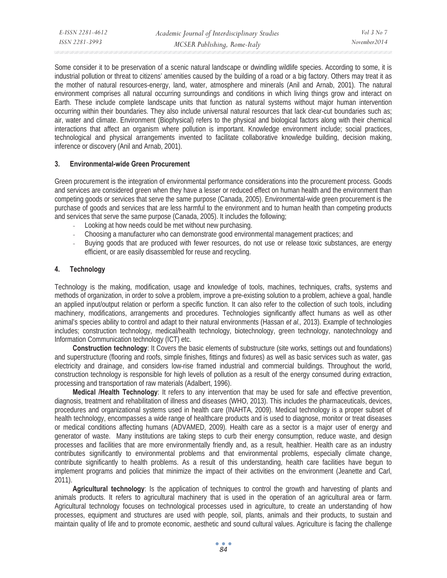Some consider it to be preservation of a scenic natural landscape or dwindling wildlife species. According to some, it is industrial pollution or threat to citizens' amenities caused by the building of a road or a big factory. Others may treat it as the mother of natural resources-energy, land, water, atmosphere and minerals (Anil and Arnab, 2001). The natural environment comprises all natural occurring surroundings and conditions in which living things grow and interact on Earth. These include complete landscape units that function as natural systems without major human intervention occurring within their boundaries. They also include universal natural resources that lack clear-cut boundaries such as; air, water and climate. Environment (Biophysical) refers to the physical and biological factors along with their chemical interactions that affect an organism where pollution is important. Knowledge environment include; social practices, technological and physical arrangements invented to facilitate collaborative knowledge building, decision making, inference or discovery (Anil and Arnab, 2001).

#### **3. Environmental-wide Green Procurement**

Green procurement is the integration of environmental performance considerations into the procurement process. Goods and services are considered green when they have a lesser or reduced effect on human health and the environment than competing goods or services that serve the same purpose (Canada, 2005). Environmental-wide green procurement is the purchase of goods and services that are less harmful to the environment and to human health than competing products and services that serve the same purpose (Canada, 2005). It includes the following;

- Looking at how needs could be met without new purchasing.
- Choosing a manufacturer who can demonstrate good environmental management practices; and
- Buying goods that are produced with fewer resources, do not use or release toxic substances, are energy efficient, or are easily disassembled for reuse and recycling.

# **4. Technology**

Technology is the making, modification, usage and knowledge of tools, machines, techniques, crafts, systems and methods of organization, in order to solve a problem, improve a pre-existing solution to a problem, achieve a goal, handle an applied input/output relation or perform a specific function. It can also refer to the collection of such tools, including machinery, modifications, arrangements and procedures. Technologies significantly affect humans as well as other animal's species ability to control and adapt to their natural environments (Hassan *et al.,* 2013). Example of technologies includes; construction technology, medical/health technology, biotechnology, green technology, nanotechnology and Information Communication technology (ICT) etc.

**Construction technology**: It Covers the basic elements of substructure (site works, settings out and foundations) and superstructure (flooring and roofs, simple finishes, fittings and fixtures) as well as basic services such as water, gas electricity and drainage, and considers low-rise framed industrial and commercial buildings. Throughout the world, construction technology is responsible for high levels of pollution as a result of the energy consumed during extraction, processing and transportation of raw materials (Adalbert, 1996).

**Medical /Health Technology**: It refers to any intervention that may be used for safe and effective prevention, diagnosis, treatment and rehabilitation of illness and diseases (WHO, 2013). This includes the pharmaceuticals, devices, procedures and organizational systems used in health care (INAHTA, 2009). Medical technology is a proper subset of health technology, encompasses a wide range of healthcare products and is used to diagnose, monitor or treat diseases or medical conditions affecting humans (ADVAMED, 2009). Health care as a sector is a major user of energy and generator of waste. Many institutions are taking steps to curb their energy consumption, reduce waste, and design processes and facilities that are more environmentally friendly and, as a result, healthier. Health care as an industry contributes significantly to environmental problems and that environmental problems, especially climate change, contribute significantly to health problems. As a result of this understanding, health care facilities have begun to implement programs and policies that minimize the impact of their activities on the environment (Jeanette and Carl, 2011).

**Agricultural technology**: Is the application of techniques to control the growth and harvesting of plants and animals products. It refers to agricultural machinery that is used in the operation of an agricultural area or farm. Agricultural technology focuses on technological processes used in agriculture, to create an understanding of how processes, equipment and structures are used with people, soil, plants, animals and their products, to sustain and maintain quality of life and to promote economic, aesthetic and sound cultural values. Agriculture is facing the challenge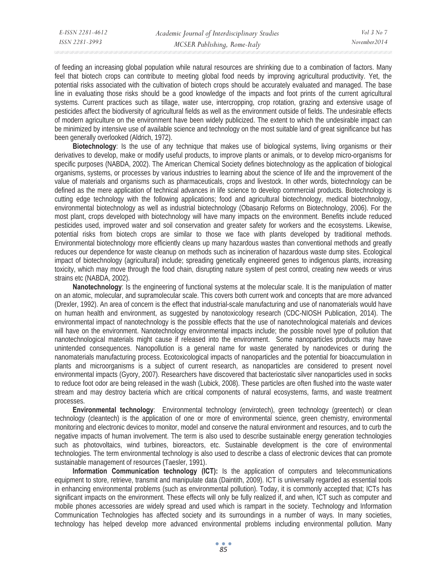of feeding an increasing global population while natural resources are shrinking due to a combination of factors. Many feel that biotech crops can contribute to meeting global food needs by improving agricultural productivity. Yet, the potential risks associated with the cultivation of biotech crops should be accurately evaluated and managed. The base line in evaluating those risks should be a good knowledge of the impacts and foot prints of the current agricultural systems. Current practices such as tillage, water use, intercropping, crop rotation, grazing and extensive usage of pesticides affect the biodiversity of agricultural fields as well as the environment outside of fields. The undesirable effects of modern agriculture on the environment have been widely publicized. The extent to which the undesirable impact can be minimized by intensive use of available science and technology on the most suitable land of great significance but has been generally overlooked (Aldrich, 1972).

**Biotechnology**: Is the use of any technique that makes use of biological systems, living organisms or their derivatives to develop, make or modify useful products, to improve plants or animals, or to develop micro-organisms for specific purposes (NABDA, 2002). The American Chemical Society defines biotechnology as the application of biological organisms, systems, or processes by various industries to learning about the science of life and the improvement of the value of materials and organisms such as pharmaceuticals, crops and livestock. In other words, biotechnology can be defined as the mere application of technical advances in life science to develop commercial products. Biotechnology is cutting edge technology with the following applications; food and agricultural biotechnology, medical biotechnology, environmental biotechnology as well as industrial biotechnology (Obasanjo Reforms on Biotechnology, 2006). For the most plant, crops developed with biotechnology will have many impacts on the environment. Benefits include reduced pesticides used, improved water and soil conservation and greater safety for workers and the ecosystems. Likewise, potential risks from biotech crops are similar to those we face with plants developed by traditional methods. Environmental biotechnology more efficiently cleans up many hazardous wastes than conventional methods and greatly reduces our dependence for waste cleanup on methods such as incineration of hazardous waste dump sites. Ecological impact of biotechnology (agricultural) include; spreading genetically engineered genes to indigenous plants, increasing toxicity, which may move through the food chain, disrupting nature system of pest control, creating new weeds or virus strains etc (NABDA, 2002).

**Nanotechnology**: Is the engineering of functional systems at the molecular scale. It is the manipulation of matter on an atomic, molecular, and supramolecular scale. This covers both current work and concepts that are more advanced (Drexler, 1992). An area of concern is the effect that industrial-scale manufacturing and use of nanomaterials would have on human health and environment, as suggested by nanotoxicology research (CDC-NIOSH Publication, 2014). The environmental impact of nanotechnology is the possible effects that the use of nanotechnological materials and devices will have on the environment. Nanotechnology environmental impacts include; the possible novel type of pollution that nanotechnological materials might cause if released into the environment. Some nanoparticles products may have unintended consequences. Nanopollution is a general name for waste generated by nanodevices or during the nanomaterials manufacturing process. Ecotoxicological impacts of nanoparticles and the potential for bioaccumulation in plants and microorganisms is a subject of current research, as nanoparticles are considered to present novel environmental impacts (Gyory, 2007). Researchers have discovered that bacteriostatic silver nanoparticles used in socks to reduce foot odor are being released in the wash (Lubick, 2008). These particles are often flushed into the waste water stream and may destroy bacteria which are critical components of natural ecosystems, farms, and waste treatment processes.

**Environmental technology**: Environmental technology (envirotech), green technology (greentech) or clean technology (cleantech) is the application of one or more of environmental science, green chemistry, environmental monitoring and electronic devices to monitor, model and conserve the natural environment and resources, and to curb the negative impacts of human involvement. The term is also used to describe sustainable energy generation technologies such as photovoltaics, wind turbines, bioreactors, etc. Sustainable development is the core of environmental technologies. The term environmental technology is also used to describe a class of electronic devices that can promote sustainable management of resources (Taesler, 1991).

**Information Communication technology (ICT):** Is the application of computers and telecommunications equipment to store, retrieve, transmit and manipulate data (Daintith, 2009). ICT is universally regarded as essential tools in enhancing environmental problems (such as environmental pollution). Today, it is commonly accepted that; ICTs has significant impacts on the environment. These effects will only be fully realized if, and when, ICT such as computer and mobile phones accessories are widely spread and used which is rampart in the society. Technology and Information Communication Technologies has affected society and its surroundings in a number of ways. In many societies, technology has helped develop more advanced environmental problems including environmental pollution. Many